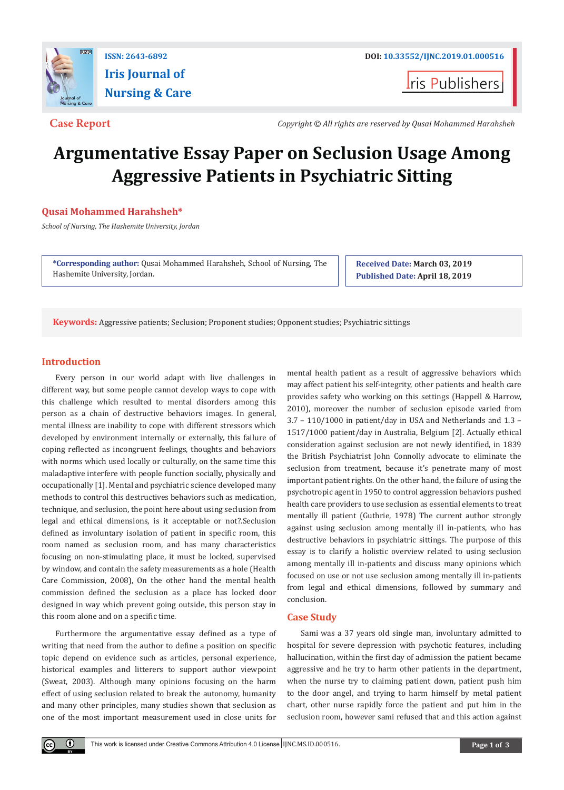

**Iris Journal of Nursing & Care**

**I**ris Publishers

**Case Report** *Copyright © All rights are reserved by Qusai Mohammed Harahsheh*

# **Argumentative Essay Paper on Seclusion Usage Among Aggressive Patients in Psychiatric Sitting**

# **Qusai Mohammed Harahsheh\***

*School of Nursing, The Hashemite University, Jordan*

**\*Corresponding author:** Qusai Mohammed Harahsheh, School of Nursing, The Hashemite University, Jordan.

**Received Date: March 03, 2019 Published Date: April 18, 2019**

**Keywords:** Aggressive patients; Seclusion; Proponent studies; Opponent studies; Psychiatric sittings

# **Introduction**

 $\odot$ 

Every person in our world adapt with live challenges in different way, but some people cannot develop ways to cope with this challenge which resulted to mental disorders among this person as a chain of destructive behaviors images. In general, mental illness are inability to cope with different stressors which developed by environment internally or externally, this failure of coping reflected as incongruent feelings, thoughts and behaviors with norms which used locally or culturally, on the same time this maladaptive interfere with people function socially, physically and occupationally [1]. Mental and psychiatric science developed many methods to control this destructives behaviors such as medication, technique, and seclusion, the point here about using seclusion from legal and ethical dimensions, is it acceptable or not?.Seclusion defined as involuntary isolation of patient in specific room, this room named as seclusion room, and has many characteristics focusing on non-stimulating place, it must be locked, supervised by window, and contain the safety measurements as a hole (Health Care Commission, 2008), On the other hand the mental health commission defined the seclusion as a place has locked door designed in way which prevent going outside, this person stay in this room alone and on a specific time.

Furthermore the argumentative essay defined as a type of writing that need from the author to define a position on specific topic depend on evidence such as articles, personal experience, historical examples and litterers to support author viewpoint (Sweat, 2003). Although many opinions focusing on the harm effect of using seclusion related to break the autonomy, humanity and many other principles, many studies shown that seclusion as one of the most important measurement used in close units for

mental health patient as a result of aggressive behaviors which may affect patient his self-integrity, other patients and health care provides safety who working on this settings (Happell & Harrow, 2010), moreover the number of seclusion episode varied from 3.7 – 110/1000 in patient/day in USA and Netherlands and 1.3 – 1517/1000 patient/day in Australia, Belgium [2]. Actually ethical consideration against seclusion are not newly identified, in 1839 the British Psychiatrist John Connolly advocate to eliminate the seclusion from treatment, because it's penetrate many of most important patient rights. On the other hand, the failure of using the psychotropic agent in 1950 to control aggression behaviors pushed health care providers to use seclusion as essential elements to treat mentally ill patient (Guthrie, 1978) The current author strongly against using seclusion among mentally ill in-patients, who has destructive behaviors in psychiatric sittings. The purpose of this essay is to clarify a holistic overview related to using seclusion among mentally ill in-patients and discuss many opinions which focused on use or not use seclusion among mentally ill in-patients from legal and ethical dimensions, followed by summary and conclusion.

# **Case Study**

Sami was a 37 years old single man, involuntary admitted to hospital for severe depression with psychotic features, including hallucination, within the first day of admission the patient became aggressive and he try to harm other patients in the department, when the nurse try to claiming patient down, patient push him to the door angel, and trying to harm himself by metal patient chart, other nurse rapidly force the patient and put him in the seclusion room, however sami refused that and this action against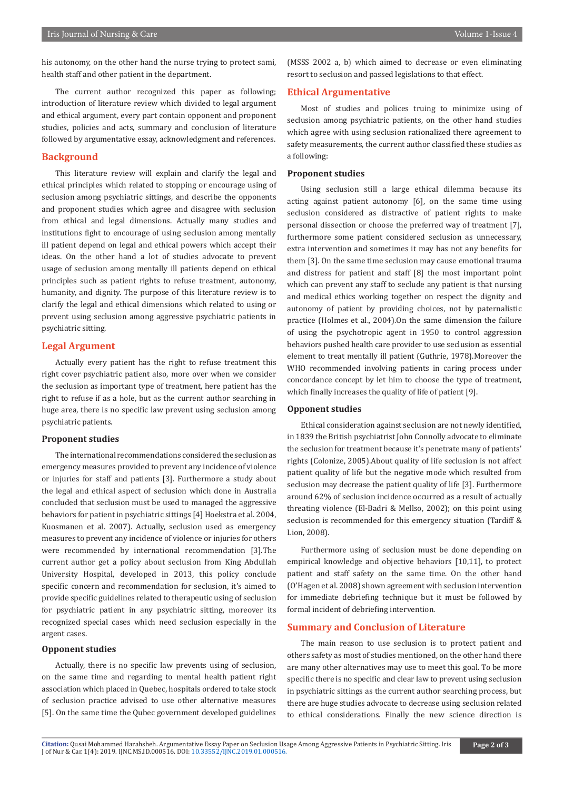his autonomy, on the other hand the nurse trying to protect sami, health staff and other patient in the department.

The current author recognized this paper as following; introduction of literature review which divided to legal argument and ethical argument, every part contain opponent and proponent studies, policies and acts, summary and conclusion of literature followed by argumentative essay, acknowledgment and references.

# **Background**

This literature review will explain and clarify the legal and ethical principles which related to stopping or encourage using of seclusion among psychiatric sittings, and describe the opponents and proponent studies which agree and disagree with seclusion from ethical and legal dimensions. Actually many studies and institutions fight to encourage of using seclusion among mentally ill patient depend on legal and ethical powers which accept their ideas. On the other hand a lot of studies advocate to prevent usage of seclusion among mentally ill patients depend on ethical principles such as patient rights to refuse treatment, autonomy, humanity, and dignity. The purpose of this literature review is to clarify the legal and ethical dimensions which related to using or prevent using seclusion among aggressive psychiatric patients in psychiatric sitting.

# **Legal Argument**

Actually every patient has the right to refuse treatment this right cover psychiatric patient also, more over when we consider the seclusion as important type of treatment, here patient has the right to refuse if as a hole, but as the current author searching in huge area, there is no specific law prevent using seclusion among psychiatric patients.

# **Proponent studies**

The international recommendations considered the seclusion as emergency measures provided to prevent any incidence of violence or injuries for staff and patients [3]. Furthermore a study about the legal and ethical aspect of seclusion which done in Australia concluded that seclusion must be used to managed the aggressive behaviors for patient in psychiatric sittings [4] Hoekstra et al. 2004, Kuosmanen et al. 2007). Actually, seclusion used as emergency measures to prevent any incidence of violence or injuries for others were recommended by international recommendation [3].The current author get a policy about seclusion from King Abdullah University Hospital, developed in 2013, this policy conclude specific concern and recommendation for seclusion, it's aimed to provide specific guidelines related to therapeutic using of seclusion for psychiatric patient in any psychiatric sitting, moreover its recognized special cases which need seclusion especially in the argent cases.

#### **Opponent studies**

Actually, there is no specific law prevents using of seclusion, on the same time and regarding to mental health patient right association which placed in Quebec, hospitals ordered to take stock of seclusion practice advised to use other alternative measures [5]. On the same time the Qubec government developed guidelines

(MSSS 2002 a, b) which aimed to decrease or even eliminating resort to seclusion and passed legislations to that effect.

#### **Ethical Argumentative**

Most of studies and polices truing to minimize using of seclusion among psychiatric patients, on the other hand studies which agree with using seclusion rationalized there agreement to safety measurements, the current author classified these studies as a following:

# **Proponent studies**

Using seclusion still a large ethical dilemma because its acting against patient autonomy [6], on the same time using seclusion considered as distractive of patient rights to make personal dissection or choose the preferred way of treatment [7], furthermore some patient considered seclusion as unnecessary, extra intervention and sometimes it may has not any benefits for them [3]. On the same time seclusion may cause emotional trauma and distress for patient and staff [8] the most important point which can prevent any staff to seclude any patient is that nursing and medical ethics working together on respect the dignity and autonomy of patient by providing choices, not by paternalistic practice (Holmes et al., 2004).On the same dimension the failure of using the psychotropic agent in 1950 to control aggression behaviors pushed health care provider to use seclusion as essential element to treat mentally ill patient (Guthrie, 1978).Moreover the WHO recommended involving patients in caring process under concordance concept by let him to choose the type of treatment, which finally increases the quality of life of patient [9].

### **Opponent studies**

Ethical consideration against seclusion are not newly identified, in 1839 the British psychiatrist John Connolly advocate to eliminate the seclusion for treatment because it's penetrate many of patients' rights (Colonize, 2005).About quality of life seclusion is not affect patient quality of life but the negative mode which resulted from seclusion may decrease the patient quality of life [3]. Furthermore around 62% of seclusion incidence occurred as a result of actually threating violence (El-Badri & Mellso, 2002); on this point using seclusion is recommended for this emergency situation (Tardiff & Lion, 2008).

Furthermore using of seclusion must be done depending on empirical knowledge and objective behaviors [10,11], to protect patient and staff safety on the same time. On the other hand (O'Hagen et al. 2008) shown agreement with seclusion intervention for immediate debriefing technique but it must be followed by formal incident of debriefing intervention.

# **Summary and Conclusion of Literature**

The main reason to use seclusion is to protect patient and others safety as most of studies mentioned, on the other hand there are many other alternatives may use to meet this goal. To be more specific there is no specific and clear law to prevent using seclusion in psychiatric sittings as the current author searching process, but there are huge studies advocate to decrease using seclusion related to ethical considerations. Finally the new science direction is